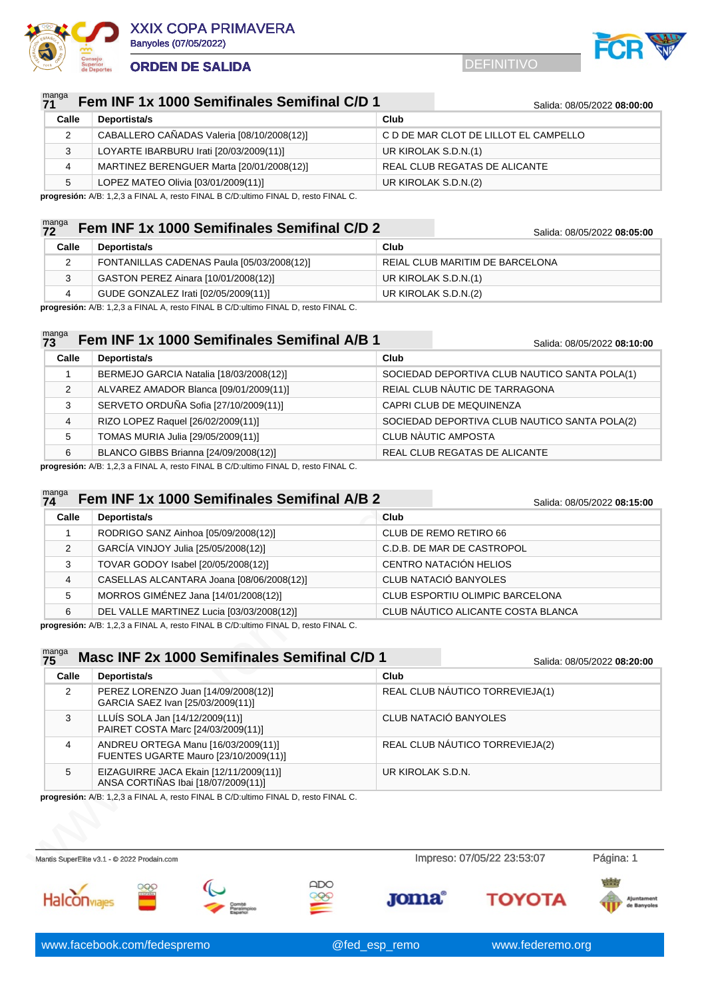



#### nga **7211 Fem INF 1x 1000 Semifinales Semifinal C/D 1** Salida: 08/05/2022 08:00:00

| Calle | Deportista/s                               | Club                                  |
|-------|--------------------------------------------|---------------------------------------|
|       | CABALLERO CAÑADAS Valeria [08/10/2008(12)] | C D DE MAR CLOT DE LILLOT EL CAMPELLO |
| ر     | LOYARTE IBARBURU Irati [20/03/2009(11)]    | UR KIROLAK S.D.N.(1)                  |
| 4     | MARTINEZ BERENGUER Marta [20/01/2008(12)]  | REAL CLUB REGATAS DE ALICANTE         |
| 5     | LOPEZ MATEO Olivia [03/01/2009(11)]        | UR KIROLAK S.D.N.(2)                  |

**progresión:** A/B: 1,2,3 a FINAL A, resto FINAL B C/D:ultimo FINAL D, resto FINAL C.

### manga **Fem INF 1x 1000 Semifinales Semifinal C/D 2** Salida: 08/05/2022 08:05:00

|       |                                            | -------- <i>--------</i> -------- |
|-------|--------------------------------------------|-----------------------------------|
| Calle | Deportista/s                               | Club                              |
|       | FONTANILLAS CADENAS Paula [05/03/2008(12)] | REIAL CLUB MARITIM DE BARCELONA   |
|       | GASTON PEREZ Ainara [10/01/2008(12)]       | UR KIROLAK S.D.N.(1)              |
|       | GUDE GONZALEZ Irati [02/05/2009(11)]       | UR KIROLAK S.D.N.(2)              |

**progresión:** A/B: 1,2,3 a FINAL A, resto FINAL B C/D:ultimo FINAL D, resto FINAL C.

### manga<br>**73 73 Fem INF 1x 1000 Semifinales Semifinal A/B 1** Salida: 08/05/2022 08:10:00

**Calle Deportista/s Club** BERMEJO GARCIA Natalia [18/03/2008(12)] SOCIEDAD DEPORTIVA CLUB NAUTICO SANTA POLA(1) ALVAREZ AMADOR Blanca [09/01/2009(11)] REIAL CLUB NÀUTIC DE TARRAGONA SERVETO ORDUÑA Sofia [27/10/2009(11)] CAPRI CLUB DE MEQUINENZA RIZO LOPEZ Raquel [26/02/2009(11)] SOCIEDAD DEPORTIVA CLUB NAUTICO SANTA POLA(2) TOMAS MURIA Julia [29/05/2009(11)] CLUB NÀUTIC AMPOSTA BLANCO GIBBS Brianna [24/09/2008(12)] REAL CLUB REGATAS DE ALICANTE

**progresión:** A/B: 1,2,3 a FINAL A, resto FINAL B C/D:ultimo FINAL D, resto FINAL C.

#### manga **74 Fem INF 1x 1000 Semifinales Semifinal A/B 2** Salida: 08/05/2022 **08:15:00**

|       |                                           | <b>Udilua.</b> UU/UU/ZUZZ <b>UU. IJ.UU</b> |
|-------|-------------------------------------------|--------------------------------------------|
| Calle | Deportista/s                              | Club                                       |
|       | RODRIGO SANZ Ainhoa [05/09/2008(12)]      | CLUB DE REMO RETIRO 66                     |
| 2     | GARCÍA VINJOY Julia [25/05/2008(12)]      | C.D.B. DE MAR DE CASTROPOL                 |
| 3     | TOVAR GODOY Isabel [20/05/2008(12)]       | CENTRO NATACIÓN HELIOS                     |
| 4     | CASELLAS ALCANTARA Joana [08/06/2008(12)] | CLUB NATACIÓ BANYOLES                      |
| 5     | MORROS GIMÉNEZ Jana [14/01/2008(12)]      | CLUB ESPORTIU OLIMPIC BARCELONA            |
| 6     | DEL VALLE MARTINEZ Lucia [03/03/2008(12)] | CLUB NÁUTICO ALICANTE COSTA BLANCA         |

|                      | Deportista/s                                                                 | Club                                   |                             |
|----------------------|------------------------------------------------------------------------------|----------------------------------------|-----------------------------|
| 1                    | RODRIGO SANZ Ainhoa [05/09/2008(12)]                                         | CLUB DE REMO RETIRO 66                 |                             |
| 2                    | GARCÍA VINJOY Julia [25/05/2008(12)]                                         | C.D.B. DE MAR DE CASTROPOL             |                             |
| 3                    | TOVAR GODOY Isabel [20/05/2008(12)]                                          | CENTRO NATACIÓN HELIOS                 |                             |
| 4                    | CASELLAS ALCANTARA Joana [08/06/2008(12)]                                    | CLUB NATACIÓ BANYOLES                  |                             |
| 5                    | MORROS GIMÉNEZ Jana [14/01/2008(12)]                                         | <b>CLUB ESPORTIU OLIMPIC BARCELONA</b> |                             |
| 6                    | DEL VALLE MARTINEZ Lucia [03/03/2008(12)]                                    | CLUB NÁUTICO ALICANTE COSTA BLANCA     |                             |
| manga<br>75<br>Calle | Masc INF 2x 1000 Semifinales Semifinal C/D 1                                 | Club                                   | Salida: 08/05/2022 08:20:00 |
|                      | Deportista/s                                                                 |                                        |                             |
|                      |                                                                              |                                        |                             |
| 2                    | PEREZ LORENZO Juan [14/09/2008(12)]<br>GARCIA SAEZ Ivan [25/03/2009(11)]     | REAL CLUB NÁUTICO TORREVIEJA(1)        |                             |
| 3                    | LLUÍS SOLA Jan [14/12/2009(11)]<br>PAIRET COSTA Marc [24/03/2009(11)]        | CLUB NATACIÓ BANYOLES                  |                             |
| 4                    | ANDREU ORTEGA Manu [16/03/2009(11)]<br>FUENTES UGARTE Mauro [23/10/2009(11)] | REAL CLUB NÁUTICO TORREVIEJA(2)        |                             |

QDC

**Halcon**viale





**Joma**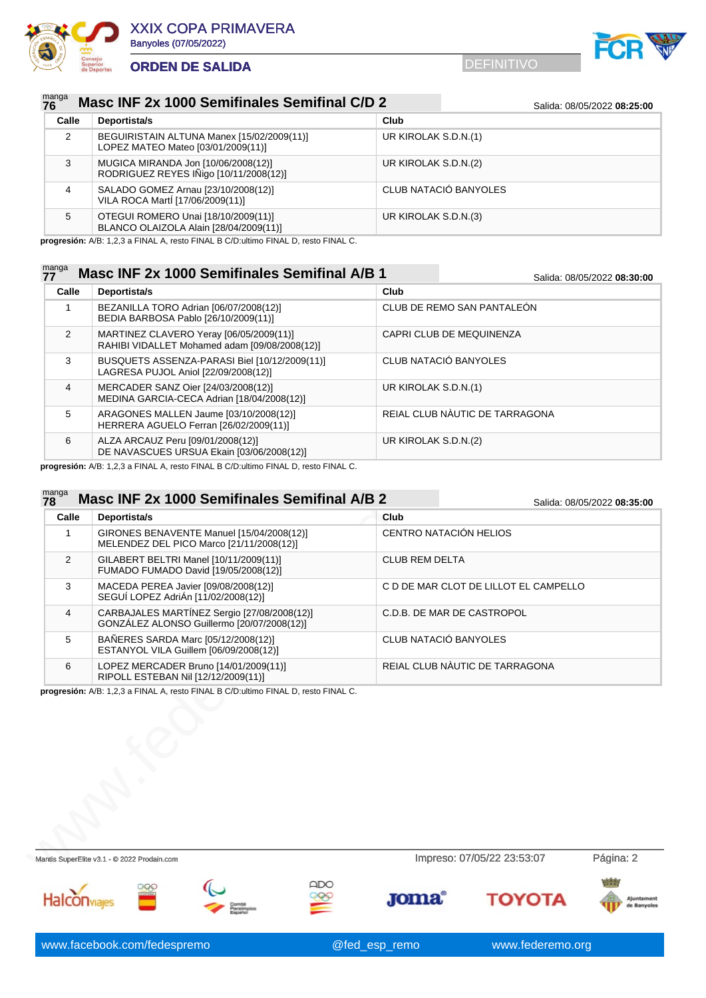



### manga<br>76 **Masc INF 2x 1000 Semifinales Semifinal C/D 2** Salida: 08/05/2022 08:25:00

| Calle | Deportista/s                                                                     | Club                  |
|-------|----------------------------------------------------------------------------------|-----------------------|
| 2     | BEGUIRISTAIN ALTUNA Manex [15/02/2009(11)]<br>LOPEZ MATEO Mateo [03/01/2009(11)] | UR KIROLAK S.D.N.(1)  |
| 3     | MUGICA MIRANDA Jon [10/06/2008(12)]<br>RODRIGUEZ REYES IÑigo [10/11/2008(12)]    | UR KIROLAK S.D.N.(2)  |
| 4     | SALADO GOMEZ Arnau [23/10/2008(12)]<br>VILA ROCA Martí [17/06/2009(11)]          | CLUB NATACIÓ BANYOLES |
| 5     | OTEGUI ROMERO Unai [18/10/2009(11)]<br>BLANCO OLAIZOLA Alain [28/04/2009(11)]    | UR KIROLAK S.D.N.(3)  |

**progresión:** A/B: 1,2,3 a FINAL A, resto FINAL B C/D:ultimo FINAL D, resto FINAL C.

### manga<br>77 **Masc INF 2x 1000 Semifinales Semifinal A/B 1** Salida: 08/05/2022 08:30:00 **Calle Deportista/s Club** 1 BEZANILLA TORO Adrian [06/07/2008(12)] BEDIA BARBOSA Pablo [26/10/2009(11)] CLUB DE REMO SAN PANTALEÓN 2 MARTINEZ CLAVERO Yeray [06/05/2009(11)] RAHIBI VIDALLET Mohamed adam [09/08/2008(12)] CAPRI CLUB DE MEQUINENZA 3 BUSQUETS ASSENZA-PARASI Biel [10/12/2009(11)] LAGRESA PUJOL Aniol [22/09/2008(12)] CLUB NATACIÓ BANYOLES 4 MERCADER SANZ Oier [24/03/2008(12)] MEDINA GARCIA-CECA Adrian [18/04/2008(12)] UR KIROLAK S.D.N.(1) 5 ARAGONES MALLEN Jaume [03/10/2008(12)] HERRERA AGUELO Ferran [26/02/2009(11)] REIAL CLUB NÀUTIC DE TARRAGONA 6 ALZA ARCAUZ Peru [09/01/2008(12)] DE NAVASCUES URSUA Ekain [03/06/2008(12)] UR KIROLAK S.D.N.(2)

**progresión:** A/B: 1,2,3 a FINAL A, resto FINAL B C/D:ultimo FINAL D, resto FINAL C.

# Calle Deportista/s<br>
(Cub<br>
GIRONES BENAVENTE Manuel [15/04/2008(12)]<br>
2 GILABERT BELTRI Manuel [10/11/2008(12)]<br>
2 GILABERT BELTRI Manuel [10/11/2009(12)]<br>
5 MACEDA PEREA Javier [09/05/2008(12)]<br>
3 MACEDA PEREA Javier [09/0 manga<br>**78 Masc INF 2x 1000 Semifinales Semifinal A/B 2** Salida: 08/05/2022 08:35:00 **Calle Deportista/s Club** 1 GIRONES BENAVENTE Manuel [15/04/2008(12)] MELENDEZ DEL PICO Marco [21/11/2008(12)] CENTRO NATACIÓN HELIOS 2 GILABERT BELTRI Manel [10/11/2009(11)] FUMADO FUMADO David [19/05/2008(12)] CLUB REM DELTA 3 MACEDA PEREA Javier [09/08/2008(12)] SEGUÍ LOPEZ AdriÁn [11/02/2008(12)] C D DE MAR CLOT DE LILLOT EL CAMPELLO 4 CARBAJALES MARTÍNEZ Sergio [27/08/2008(12)] C.D.B. DE MAR DE CASTROPOL

|  | GONZALEZ ALONSO Guillermo [20/07/2008(12)]                                    |                                |
|--|-------------------------------------------------------------------------------|--------------------------------|
|  | BAÑERES SARDA Marc [05/12/2008(12)]<br>ESTANYOL VILA Guillem [06/09/2008(12)] | CLUB NATACIÓ BANYOLES          |
|  | LOPEZ MERCADER Bruno [14/01/2009(11)]<br>RIPOLL ESTEBAN Nil [12/12/2009(11)]  | REIAL CLUB NAUTIC DE TARRAGONA |

**progresión:** A/B: 1,2,3 a FINAL A, resto FINAL B C/D:ultimo FINAL D, resto FINAL C.

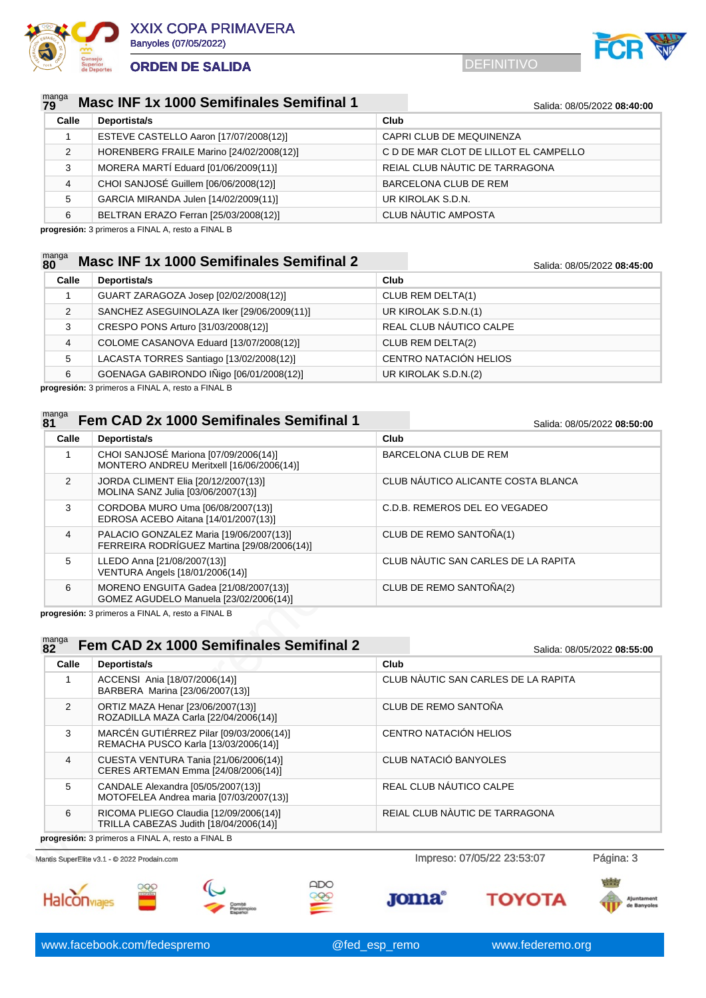



### manga<br>79 **Masc INF 1x 1000 Semifinales Semifinal 1** Salida: 08/05/2022 08:40:00

| Calle | Deportista/s                             | Club                                  |
|-------|------------------------------------------|---------------------------------------|
|       | ESTEVE CASTELLO Aaron [17/07/2008(12)]   | CAPRI CLUB DE MEQUINENZA              |
| 2     | HORENBERG FRAILE Marino [24/02/2008(12)] | C D DE MAR CLOT DE LILLOT EL CAMPELLO |
| 3     | MORERA MARTÍ Eduard [01/06/2009(11)]     | REIAL CLUB NÀUTIC DE TARRAGONA        |
| 4     | CHOI SANJOSÉ Guillem [06/06/2008(12)]    | BARCELONA CLUB DE REM                 |
| 5     | GARCIA MIRANDA Julen [14/02/2009(11)]    | UR KIROLAK S.D.N.                     |
| 6     | BELTRAN ERAZO Ferran [25/03/2008(12)]    | <b>CLUB NÀUTIC AMPOSTA</b>            |

**progresión:** 3 primeros a FINAL A, resto a FINAL B

### manga<br>80 **Masc INF 1x 1000 Semifinales Semifinal 2** Salida: 08/05/2022 08:45:00

| Calle | Deportista/s                               | Club                    |
|-------|--------------------------------------------|-------------------------|
|       | GUART ZARAGOZA Josep [02/02/2008(12)]      | CLUB REM DELTA(1)       |
| 2     | SANCHEZ ASEGUINOLAZA Iker [29/06/2009(11)] | UR KIROLAK S.D.N.(1)    |
| 3     | CRESPO PONS Arturo [31/03/2008(12)]        | REAL CLUB NÁUTICO CALPE |
| 4     | COLOME CASANOVA Eduard [13/07/2008(12)]    | CLUB REM DELTA(2)       |
| 5     | LACASTA TORRES Santiago [13/02/2008(12)]   | CENTRO NATACIÓN HELIOS  |
| 6     | GOENAGA GABIRONDO IÑigo [06/01/2008(12)]   | UR KIROLAK S.D.N.(2)    |

**progresión:** 3 primeros a FINAL A, resto a FINAL B

### manga **Fem CAD 2x 1000 Semifinales Semifinal 1** Salida: 08/05/2022 08:50:00

| . .           |                                                                                        | <u>oanua. oo/oo/zozz oo.oo.oo</u>   |
|---------------|----------------------------------------------------------------------------------------|-------------------------------------|
| Calle         | Deportista/s                                                                           | Club                                |
|               | CHOI SANJOSÉ Mariona [07/09/2006(14)]<br>MONTERO ANDREU Meritxell [16/06/2006(14)]     | BARCELONA CLUB DE REM               |
| $\mathcal{P}$ | JORDA CLIMENT Elia [20/12/2007(13)]<br>MOLINA SANZ Julia [03/06/2007(13)]              | CLUB NÁUTICO ALICANTE COSTA BLANCA  |
| 3             | CORDOBA MURO Uma [06/08/2007(13)]<br>EDROSA ACEBO Aitana [14/01/2007(13)]              | C.D.B. REMEROS DEL EO VEGADEO       |
| 4             | PALACIO GONZALEZ Maria [19/06/2007(13)]<br>FERREIRA RODRÍGUEZ Martina [29/08/2006(14)] | CLUB DE REMO SANTOÑA(1)             |
| 5             | LLEDO Anna [21/08/2007(13)]<br>VENTURA Angels [18/01/2006(14)]                         | CLUB NÀUTIC SAN CARLES DE LA RAPITA |
| 6             | MORENO ENGUITA Gadea [21/08/2007(13)]<br>GOMEZ AGUDELO Manuela [23/02/2006(14)]        | CLUB DE REMO SANTOÑA(2)             |
|               |                                                                                        |                                     |

| ত              | CORDOBA MORO UNIA (00/00/2007) 13)]<br>EDROSA ACEBO Aitana [14/01/2007(13)]                  | U.D.D. REMERUS DEL EU VEGADEU       |                             |
|----------------|----------------------------------------------------------------------------------------------|-------------------------------------|-----------------------------|
| $\overline{4}$ | PALACIO GONZALEZ Maria [19/06/2007(13)]<br>FERREIRA RODRÍGUEZ Martina [29/08/2006(14)]       | CLUB DE REMO SANTOÑA(1)             |                             |
| 5              | LLEDO Anna [21/08/2007(13)]<br>VENTURA Angels [18/01/2006(14)]                               | CLUB NÀUTIC SAN CARLES DE LA RAPITA |                             |
| 6              | MORENO ENGUITA Gadea [21/08/2007(13)]<br>GOMEZ AGUDELO Manuela [23/02/2006(14)]              | CLUB DE REMO SANTOÑA(2)             |                             |
| manga<br>82    | progresión: 3 primeros a FINAL A, resto a FINAL B<br>Fem CAD 2x 1000 Semifinales Semifinal 2 |                                     |                             |
| Calle          | Deportista/s                                                                                 | Club                                | Salida: 08/05/2022 08:55:00 |
| 1              | ACCENSI Ania [18/07/2006(14)]<br>BARBERA Marina [23/06/2007(13)]                             | CLUB NÀUTIC SAN CARLES DE LA RAPITA |                             |
| 2              | ORTIZ MAZA Henar [23/06/2007(13)]<br>ROZADILLA MAZA Carla [22/04/2006(14)]                   | CLUB DE REMO SANTOÑA                |                             |
| 3              | MARCÉN GUTIÉRREZ Pilar [09/03/2006(14)]<br>REMACHA PUSCO Karla [13/03/2006(14)]              | CENTRO NATACIÓN HELIOS              |                             |
| 4              | CUESTA VENTURA Tania [21/06/2006(14)]<br>CERES ARTEMAN Emma [24/08/2006(14)]                 | CLUB NATACIÓ BANYOLES               |                             |
| 5              | CANDALE Alexandra [05/05/2007(13)]<br>MOTOFELEA Andrea maria [07/03/2007(13)]                | REAL CLUB NÁUTICO CALPE             |                             |
| 6              | RICOMA PLIEGO Claudia [12/09/2006(14)]<br>TRILLA CABEZAS Judith [18/04/2006(14)]             | REIAL CLUB NAUTIC DE TARRAGONA      |                             |
|                | progresión: 3 primeros a FINAL A, resto a FINAL B                                            |                                     |                             |
|                | Mantis SuperElite v3.1 - @ 2022 Prodain.com                                                  | Impreso: 07/05/22 23:53:07          | Página: 3                   |
|                |                                                                                              |                                     |                             |











**Joma**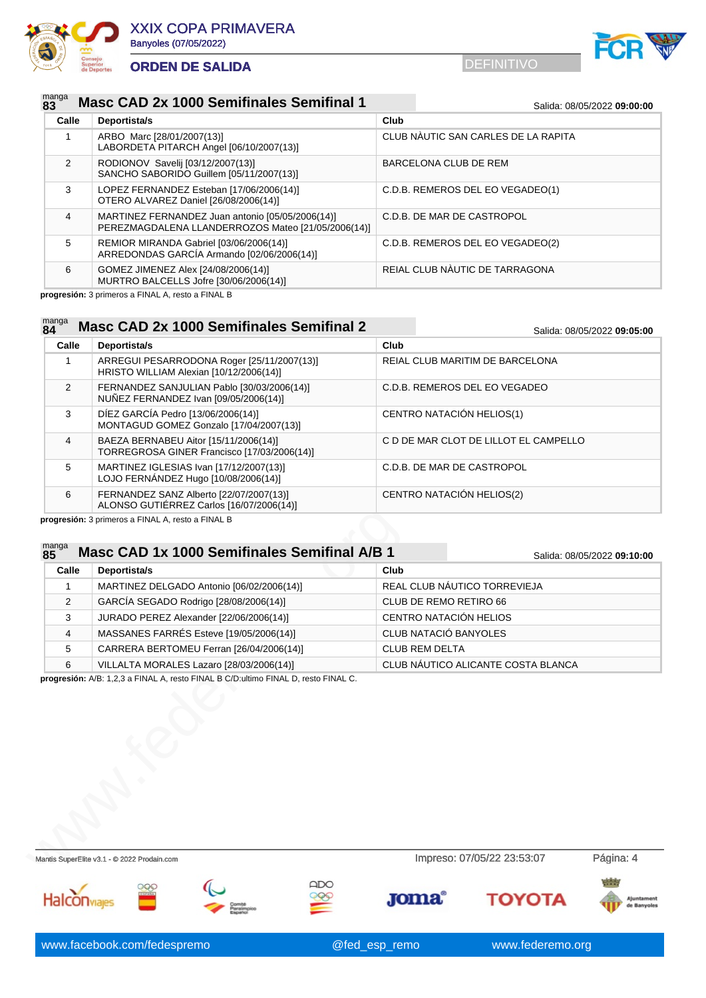



### manga<br>83 **Masc CAD 2x 1000 Semifinales Semifinal 1** Salida: 08/05/2022 09:00:00

| Calle         | Deportista/s                                                                                           | Club                                |
|---------------|--------------------------------------------------------------------------------------------------------|-------------------------------------|
|               | ARBO Marc [28/01/2007(13)]<br>LABORDETA PITARCH Angel [06/10/2007(13)]                                 | CLUB NÀUTIC SAN CARLES DE LA RAPITA |
| $\mathcal{P}$ | RODIONOV Savelij [03/12/2007(13)]<br>SANCHO SABORIDO Guillem [05/11/2007(13)]                          | BARCELONA CLUB DE REM               |
| 3             | LOPEZ FERNANDEZ Esteban [17/06/2006(14)]<br>OTERO ALVAREZ Daniel [26/08/2006(14)]                      | C.D.B. REMEROS DEL EO VEGADEO(1)    |
| 4             | MARTINEZ FERNANDEZ Juan antonio [05/05/2006(14)]<br>PEREZMAGDALENA LLANDERROZOS Mateo [21/05/2006(14)] | C.D.B. DE MAR DE CASTROPOL          |
| 5             | REMIOR MIRANDA Gabriel [03/06/2006(14)]<br>ARREDONDAS GARCÍA Armando [02/06/2006(14)]                  | C.D.B. REMEROS DEL EO VEGADEO(2)    |
| 6             | GOMEZ JIMENEZ Alex [24/08/2006(14)]<br>MURTRO BALCELLS Jofre [30/06/2006(14)]                          | REIAL CLUB NAUTIC DE TARRAGONA      |

**progresión:** 3 primeros a FINAL A, resto a FINAL B

### manga<br>84 **Masc CAD 2x 1000 Semifinales Semifinal 2** Salida: 08/05/2022 09:05:00

| Calle | Deportista/s                                                                          | Club                                  |
|-------|---------------------------------------------------------------------------------------|---------------------------------------|
|       | ARREGUI PESARRODONA Roger [25/11/2007(13)]<br>HRISTO WILLIAM Alexian [10/12/2006(14)] | REIAL CLUB MARITIM DE BARCELONA       |
| 2     | FERNANDEZ SANJULIAN Pablo [30/03/2006(14)]<br>NUÑEZ FERNANDEZ Ivan [09/05/2006(14)]   | C.D.B. REMEROS DEL EO VEGADEO         |
| 3     | DÍEZ GARCÍA Pedro [13/06/2006(14)]<br>MONTAGUD GOMEZ Gonzalo [17/04/2007(13)]         | CENTRO NATACIÓN HELIOS(1)             |
| 4     | BAEZA BERNABEU Aitor [15/11/2006(14)]<br>TORREGROSA GINER Francisco [17/03/2006(14)]  | C D DE MAR CLOT DE LILLOT EL CAMPELLO |
| 5     | MARTINEZ IGLESIAS Ivan [17/12/2007(13)]<br>LOJO FERNÁNDEZ Hugo [10/08/2006(14)]       | C.D.B. DE MAR DE CASTROPOL            |
| 6     | FERNANDEZ SANZ Alberto [22/07/2007(13)]<br>ALONSO GUTIÉRREZ Carlos [16/07/2006(14)]   | CENTRO NATACIÓN HELIOS(2)             |

### manga **Masc CAD 1x 1000 Semifinales Semifinal A/B 1** Salida: 08/05/2022 09:10:00

| Calle | Deportista/s                                                                       | Club                         |                                    |
|-------|------------------------------------------------------------------------------------|------------------------------|------------------------------------|
| 1     | MARTINEZ DELGADO Antonio [06/02/2006(14)]                                          | REAL CLUB NÁUTICO TORREVIEJA |                                    |
| 2     | GARCÍA SEGADO Rodrigo [28/08/2006(14)]                                             | CLUB DE REMO RETIRO 66       |                                    |
| 3     | JURADO PEREZ Alexander [22/06/2006(14)]                                            | CENTRO NATACIÓN HELIOS       |                                    |
| 4     | MASSANES FARRÉS Esteve [19/05/2006(14)]                                            | CLUB NATACIÓ BANYOLES        |                                    |
| 5     | CARRERA BERTOMEU Ferran [26/04/2006(14)]                                           | <b>CLUB REM DELTA</b>        |                                    |
| 6     | VILLALTA MORALES Lazaro [28/03/2006(14)]                                           |                              | CLUB NÁUTICO ALICANTE COSTA BLANCA |
|       | progresión: A/B: 1,2,3 a FINAL A, resto FINAL B C/D:ultimo FINAL D, resto FINAL C. |                              |                                    |

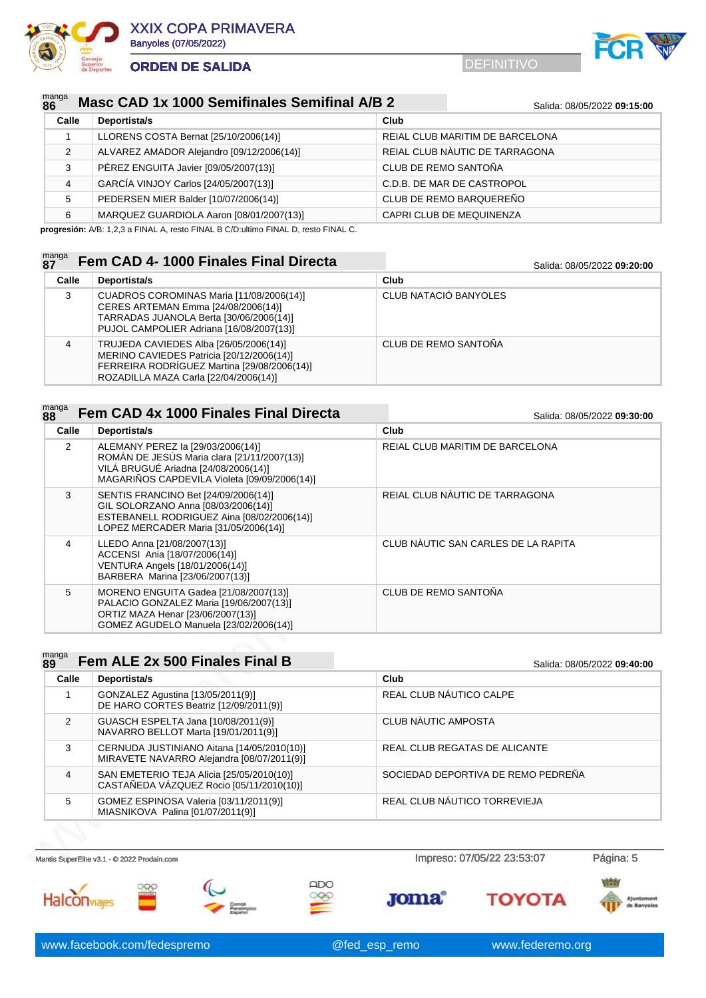



### manga<br>86 **Masc CAD 1x 1000 Semifinales Semifinal A/B 2** Salida: 08/05/2022 09:15:00

| Calle | Deportista/s                              | Club                            |
|-------|-------------------------------------------|---------------------------------|
|       | LLORENS COSTA Bernat [25/10/2006(14)]     | REIAL CLUB MARITIM DE BARCELONA |
| 2     | ALVAREZ AMADOR Alejandro [09/12/2006(14)] | REIAL CLUB NÀUTIC DE TARRAGONA  |
| 3     | PÉREZ ENGUITA Javier [09/05/2007(13)]     | CLUB DE REMO SANTOÑA            |
| 4     | GARCÍA VINJOY Carlos [24/05/2007(13)]     | C.D.B. DE MAR DE CASTROPOL      |
| 5     | PEDERSEN MIER Balder [10/07/2006(14)]     | CLUB DE REMO BARQUEREÑO         |
| 6     | MARQUEZ GUARDIOLA Aaron [08/01/2007(13)]  | CAPRI CLUB DE MEQUINENZA        |

**progresión:** A/B: 1,2,3 a FINAL A, resto FINAL B C/D:ultimo FINAL D, resto FINAL C.

### manga<br>87 **8281 627 12000 Finales Final Directa** Salida: 08/05/2022 09:20:00

| Calle | Deportista/s                                                                                                                                                                | Club                  |
|-------|-----------------------------------------------------------------------------------------------------------------------------------------------------------------------------|-----------------------|
| 3     | CUADROS COROMINAS Maria [11/08/2006(14)]<br>CERES ARTEMAN Emma [24/08/2006(14)]<br>TARRADAS JUANOLA Berta [30/06/2006(14)]<br>PUJOL CAMPOLIER Adriana [16/08/2007(13)]      | CLUB NATACIÓ BANYOLES |
| 4     | TRUJEDA CAVIEDES Alba [26/05/2006(14)]<br>MERINO CAVIEDES Patricia [20/12/2006(14)]<br>FERREIRA RODRÍGUEZ Martina [29/08/2006(14)]<br>ROZADILLA MAZA Carla [22/04/2006(14)] | CLUB DE REMO SANTOÑA  |

### manga **888 <b>Fem CAD 4x 1000 Finales Final Directa** Salida: 08/05/2022 **09:30:00**

| Calle          | Deportista/s                                                                                                                                                             | Club                                |
|----------------|--------------------------------------------------------------------------------------------------------------------------------------------------------------------------|-------------------------------------|
| $\overline{2}$ | ALEMANY PEREZ la [29/03/2006(14)]<br>ROMÁN DE JESÚS Maria clara [21/11/2007(13)]<br>VILÁ BRUGUÉ Ariadna [24/08/2006(14)]<br>MAGARIÑOS CAPDEVILA Violeta [09/09/2006(14)] | REIAL CLUB MARITIM DE BARCELONA     |
| 3              | SENTIS FRANCINO Bet [24/09/2006(14)]<br>GIL SOLORZANO Anna [08/03/2006(14)]<br>ESTEBANELL RODRIGUEZ Aina [08/02/2006(14)]<br>LOPEZ MERCADER Maria [31/05/2006(14)]       | REIAL CLUB NÀUTIC DE TARRAGONA      |
| 4              | LLEDO Anna [21/08/2007(13)]<br>ACCENSI Ania [18/07/2006(14)]<br>VENTURA Angels [18/01/2006(14)]<br>BARBERA Marina [23/06/2007(13)]                                       | CLUB NÀUTIC SAN CARLES DE LA RAPITA |
| 5              | MORENO ENGUITA Gadea [21/08/2007(13)]<br>PALACIO GONZALEZ Maria [19/06/2007(13)]<br>ORTIZ MAZA Henar [23/06/2007(13)]<br>GOMEZ AGUDELO Manuela [23/02/2006(14)]          | <b>CLUB DE REMO SANTOÑA</b>         |

|                | $\sim$ 00000 112 1110 7 11110 100/00/2007<br>ESTEBANELL RODRIGUEZ Aina [08/02/2006(14)]<br>LOPEZ MERCADER Maria [31/05/2006(14)]                                |                                     |                             |
|----------------|-----------------------------------------------------------------------------------------------------------------------------------------------------------------|-------------------------------------|-----------------------------|
| 4              | LLEDO Anna [21/08/2007(13)]<br>ACCENSI Ania [18/07/2006(14)]<br>VENTURA Angels [18/01/2006(14)]<br>BARBERA Marina [23/06/2007(13)]                              | CLUB NAUTIC SAN CARLES DE LA RAPITA |                             |
| 5              | MORENO ENGUITA Gadea [21/08/2007(13)]<br>PALACIO GONZALEZ Maria [19/06/2007(13)]<br>ORTIZ MAZA Henar [23/06/2007(13)]<br>GOMEZ AGUDELO Manuela [23/02/2006(14)] | CLUB DE REMO SANTOÑA                |                             |
| manga          |                                                                                                                                                                 |                                     |                             |
| 89             | Fem ALE 2x 500 Finales Final B                                                                                                                                  |                                     | Salida: 08/05/2022 09:40:00 |
| Calle          | Deportista/s                                                                                                                                                    | Club                                |                             |
| 1              | GONZALEZ Agustina [13/05/2011(9)]<br>DE HARO CORTES Beatriz [12/09/2011(9)]                                                                                     | REAL CLUB NÁUTICO CALPE             |                             |
| 2              | GUASCH ESPELTA Jana [10/08/2011(9)]<br>NAVARRO BELLOT Marta [19/01/2011(9)]                                                                                     | CLUB NAUTIC AMPOSTA                 |                             |
| 3              | CERNUDA JUSTINIANO Aitana [14/05/2010(10)]<br>MIRAVETE NAVARRO Alejandra [08/07/2011(9)]                                                                        | REAL CLUB REGATAS DE ALICANTE       |                             |
| $\overline{4}$ | SAN EMETERIO TEJA Alicia [25/05/2010(10)]<br>CASTAÑEDA VÁZQUEZ Rocio [05/11/2010(10)]                                                                           | SOCIEDAD DEPORTIVA DE REMO PEDREÑA  |                             |
| 5              | GOMEZ ESPINOSA Valeria [03/11/2011(9)]<br>MIASNIKOVA Palina [01/07/2011(9)]                                                                                     | REAL CLUB NÁUTICO TORREVIEJA        |                             |
|                |                                                                                                                                                                 |                                     |                             |
|                | Mantis SuperElite v3.1 - @ 2022 Prodain.com                                                                                                                     | Impreso: 07/05/22 23:53:07          | Página: 5                   |
|                |                                                                                                                                                                 |                                     |                             |

Halconviales





 $000$ 

**Joma** 

**TOYOTA**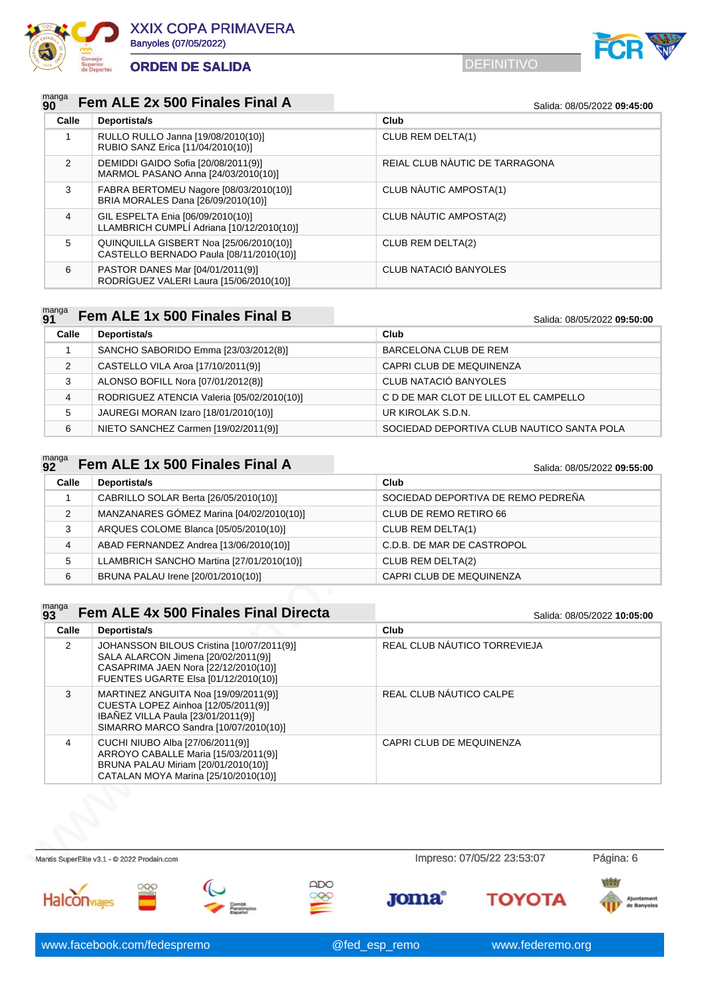



| $_{90}^{\text{manga}}$ Fem ALE 2x 500 Finales Final A |  |  |  |  |  |  |  |  |
|-------------------------------------------------------|--|--|--|--|--|--|--|--|
|-------------------------------------------------------|--|--|--|--|--|--|--|--|

|       | Fem ALE 2X 500 Finales Final A                                                     | Salida: 08/05/2022 09:45:00    |
|-------|------------------------------------------------------------------------------------|--------------------------------|
| Calle | Deportista/s                                                                       | Club                           |
|       | RULLO RULLO Janna [19/08/2010(10)]<br>RUBIO SANZ Erica [11/04/2010(10)]            | CLUB REM DELTA(1)              |
| 2     | DEMIDDI GAIDO Sofia [20/08/2011(9)]<br>MARMOL PASANO Anna [24/03/2010(10)]         | REIAL CLUB NÀUTIC DE TARRAGONA |
| 3     | FABRA BERTOMEU Nagore [08/03/2010(10)]<br>BRIA MORALES Dana [26/09/2010(10)]       | CLUB NÀUTIC AMPOSTA(1)         |
| 4     | GIL ESPELTA Enia [06/09/2010(10)]<br>LLAMBRICH CUMPLÍ Adriana [10/12/2010(10)]     | CLUB NAUTIC AMPOSTA(2)         |
| 5     | QUINQUILLA GISBERT Noa [25/06/2010(10)]<br>CASTELLO BERNADO Paula [08/11/2010(10)] | CLUB REM DELTA(2)              |
| 6     | PASTOR DANES Mar [04/01/2011(9)]<br>RODRÍGUEZ VALERI Laura [15/06/2010(10)]        | CLUB NATACIÓ BANYOLES          |

#### manga<br>**Q1 Fem ALE 1x 500 Finales Final B** Salida: 08/05/2022 **09:50:00**

| $\sim$ |                                            | <u>UUINU. VUIVULLULL UU.UU.UU</u>          |  |
|--------|--------------------------------------------|--------------------------------------------|--|
| Calle  | Deportista/s                               | Club                                       |  |
|        | SANCHO SABORIDO Emma [23/03/2012(8)]       | BARCELONA CLUB DE REM                      |  |
| 2      | CASTELLO VILA Aroa [17/10/2011(9)]         | CAPRI CLUB DE MEQUINENZA                   |  |
| 3      | ALONSO BOFILL Nora [07/01/2012(8)]         | CLUB NATACIÓ BANYOLES                      |  |
| 4      | RODRIGUEZ ATENCIA Valeria [05/02/2010(10)] | C D DE MAR CLOT DE LILLOT EL CAMPELLO      |  |
| 5      | JAUREGI MORAN Izaro [18/01/2010(10)]       | UR KIROLAK S.D.N.                          |  |
| 6      | NIETO SANCHEZ Carmen [19/02/2011(9)]       | SOCIEDAD DEPORTIVA CLUB NAUTICO SANTA POLA |  |

### manga<br>92 **Fem ALE 1x 500 Finales Final A** Salida: 08/05/2022 09:55:00

**Calle Deportista/s Club** CABRILLO SOLAR Berta [26/05/2010(10)] SOCIEDAD DEPORTIVA DE REMO PEDREÑA MANZANARES GÓMEZ Marina [04/02/2010(10)] CLUB DE REMO RETIRO 66 ARQUES COLOME Blanca [05/05/2010(10)] CLUB REM DELTA(1) ABAD FERNANDEZ Andrea [13/06/2010(10)] C.D.B. DE MAR DE CASTROPOL LLAMBRICH SANCHO Martina [27/01/2010(10)] CLUB REM DELTA(2) 6 BRUNA PALAU Irene [20/01/2010(10)] CAPRI CLUB DE MEQUINENZA

| 2              | MANZANARES GOMEZ Marina [04/02/2010(10)]                                                                                                                         | CLUB DE REMO RETIRO 66       |                             |
|----------------|------------------------------------------------------------------------------------------------------------------------------------------------------------------|------------------------------|-----------------------------|
| 3              | ARQUES COLOME Blanca [05/05/2010(10)]                                                                                                                            | CLUB REM DELTA(1)            |                             |
| 4              | ABAD FERNANDEZ Andrea [13/06/2010(10)]                                                                                                                           | C.D.B. DE MAR DE CASTROPOL   |                             |
| 5              | LLAMBRICH SANCHO Martina [27/01/2010(10)]                                                                                                                        | CLUB REM DELTA(2)            |                             |
| 6              | BRUNA PALAU Irene [20/01/2010(10)]                                                                                                                               | CAPRI CLUB DE MEQUINENZA     |                             |
|                |                                                                                                                                                                  |                              |                             |
| manga<br>93    | Fem ALE 4x 500 Finales Final Directa                                                                                                                             |                              | Salida: 08/05/2022 10:05:00 |
| Calle          | Deportista/s                                                                                                                                                     | Club                         |                             |
| 2              | JOHANSSON BILOUS Cristina [10/07/2011(9)]<br>SALA ALARCON Jimena [20/02/2011(9)]<br>CASAPRIMA JAEN Nora [22/12/2010(10)]<br>FUENTES UGARTE Elsa [01/12/2010(10)] | REAL CLUB NÁUTICO TORREVIEJA |                             |
| 3              | MARTINEZ ANGUITA Noa [19/09/2011(9)]<br>CUESTA LOPEZ Ainhoa [12/05/2011(9)]<br>IBAÑEZ VILLA Paula [23/01/2011(9)]<br>SIMARRO MARCO Sandra [10/07/2010(10)]       | REAL CLUB NÁUTICO CALPE      |                             |
| $\overline{4}$ | CUCHI NIUBO Alba [27/06/2011(9)]<br>ARROYO CABALLE Maria [15/03/2011(9)]<br>BRUNA PALAU Miriam [20/01/2010(10)]<br>CATALAN MOYA Marina [25/10/2010(10)]          | CAPRI CLUB DE MEQUINENZA     |                             |

Mantis SuperElite v3.1 - © 2022 Prodain.com **Impreso: 07/05/22 23:53:07** Página: 6  $ADO$  $OOC$ **Joma TOYOTA** Halconviages www.facebook.com/fedespremo @fed\_esp\_remo www.federemo.org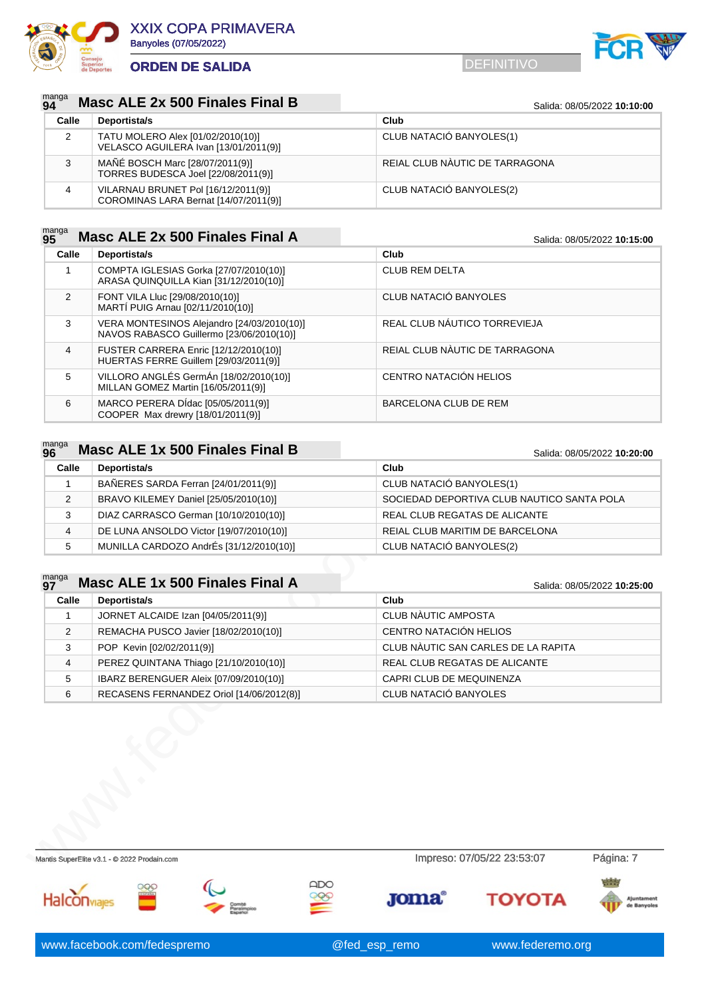



### manga<br>94 **Masc ALE 2x 500 Finales Final B** Salida: 08/05/2022 10:10:00

| Calle | Deportista/s                                                                 | Club                           |
|-------|------------------------------------------------------------------------------|--------------------------------|
| 2     | TATU MOLERO Alex [01/02/2010(10)]<br>VELASCO AGUILERA Ivan [13/01/2011(9)]   | CLUB NATACIÓ BANYOLES(1)       |
| 3     | MAÑÉ BOSCH Marc [28/07/2011(9)]<br>TORRES BUDESCA Joel [22/08/2011(9)]       | REIAL CLUB NAUTIC DE TARRAGONA |
|       | VILARNAU BRUNET Pol [16/12/2011(9)]<br>COROMINAS LARA Bernat [14/07/2011(9)] | CLUB NATACIÓ BANYOLES(2)       |

### manga<br>95 **Masc ALE 2x 500 Finales Final A** Salida: 08/05/2022 10:15:00

| Calle         | Deportista/s                                                                           | Club                           |
|---------------|----------------------------------------------------------------------------------------|--------------------------------|
|               | COMPTA IGLESIAS Gorka [27/07/2010(10)]<br>ARASA QUINQUILLA Kian [31/12/2010(10)]       | <b>CLUB REM DELTA</b>          |
| $\mathcal{P}$ | FONT VILA Lluc [29/08/2010(10)]<br>MARTÍ PUIG Arnau [02/11/2010(10)]                   | CLUB NATACIÓ BANYOLES          |
| 3             | VERA MONTESINOS Alejandro [24/03/2010(10)]<br>NAVOS RABASCO Guillermo [23/06/2010(10)] | REAL CLUB NÁUTICO TORREVIEJA   |
| 4             | FUSTER CARRERA Enric [12/12/2010(10)]<br>HUERTAS FERRE Guillem [29/03/2011(9)]         | REIAL CLUB NÀUTIC DE TARRAGONA |
| 5             | VILLORO ANGLÉS GermÁn [18/02/2010(10)]<br>MILLAN GOMEZ Martin [16/05/2011(9)]          | CENTRO NATACIÓN HELIOS         |
| 6             | MARCO PERERA DÍdac [05/05/2011(9)]<br>COOPER Max drewry [18/01/2011(9)]                | BARCELONA CLUB DE REM          |

### manga<br>96 **Masc ALE 1x 500 Finales Final B** Salida: 08/05/2022 10:20:00

| Calle | Deportista/s                            | Club                                       |  |
|-------|-----------------------------------------|--------------------------------------------|--|
|       | BAÑERES SARDA Ferran [24/01/2011(9)]    | CLUB NATACIÓ BANYOLES(1)                   |  |
| 2     | BRAVO KILEMEY Daniel [25/05/2010(10)]   | SOCIEDAD DEPORTIVA CLUB NAUTICO SANTA POLA |  |
| 3     | DIAZ CARRASCO German [10/10/2010(10)]   | REAL CLUB REGATAS DE ALICANTE              |  |
| 4     | DE LUNA ANSOLDO Victor [19/07/2010(10)] | REIAL CLUB MARITIM DE BARCELONA            |  |
| 5     | MUNILLA CARDOZO AndrÉs [31/12/2010(10)] | CLUB NATACIÓ BANYOLES(2)                   |  |

# manga **Masc ALE 1x 500 Finales Final A** Salida: 08/05/2022 10:25:00

| 3              | DIAZ CARRASCO German [10/10/2010(10)]       | REAL CLUB REGATAS DE ALICANTE       |                             |
|----------------|---------------------------------------------|-------------------------------------|-----------------------------|
| $\overline{4}$ | DE LUNA ANSOLDO Victor [19/07/2010(10)]     | REIAL CLUB MARITIM DE BARCELONA     |                             |
| 5              | MUNILLA CARDOZO AndrÉs [31/12/2010(10)]     | CLUB NATACIÓ BANYOLES(2)            |                             |
|                |                                             |                                     |                             |
| manga<br>97    | Masc ALE 1x 500 Finales Final A             |                                     | Salida: 08/05/2022 10:25:00 |
| Calle          | Deportista/s                                | Club                                |                             |
| 1              | JORNET ALCAIDE Izan [04/05/2011(9)]         | CLUB NÀUTIC AMPOSTA                 |                             |
| 2              | REMACHA PUSCO Javier [18/02/2010(10)]       | CENTRO NATACIÓN HELIOS              |                             |
| 3              | POP Kevin [02/02/2011(9)]                   | CLUB NÀUTIC SAN CARLES DE LA RAPITA |                             |
| $\overline{4}$ | PEREZ QUINTANA Thiago [21/10/2010(10)]      | REAL CLUB REGATAS DE ALICANTE       |                             |
| 5              | IBARZ BERENGUER Aleix [07/09/2010(10)]      | CAPRI CLUB DE MEQUINENZA            |                             |
| 6              | RECASENS FERNANDEZ Oriol [14/06/2012(8)]    | CLUB NATACIÓ BANYOLES               |                             |
|                |                                             |                                     |                             |
|                | Mantis SuperElite v3.1 - @ 2022 Prodain.com | Impreso: 07/05/22 23:53:07          | Página: 7                   |
|                |                                             |                                     | 4.8.8                       |

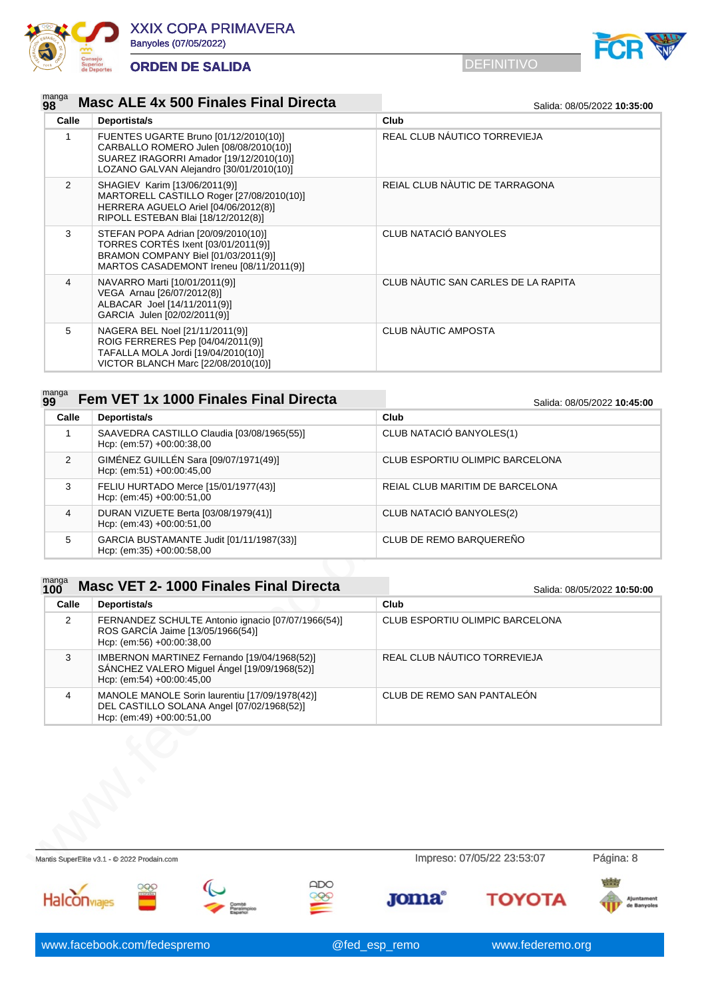



### manga<br>98 **Masc ALE 4x 500 Finales Final Directa** Salida: 08/05/2022 10:35:00

| Calle          | Deportista/s                                                                                                                                                           | Club                                |
|----------------|------------------------------------------------------------------------------------------------------------------------------------------------------------------------|-------------------------------------|
|                | FUENTES UGARTE Bruno [01/12/2010(10)]<br>CARBALLO ROMERO Julen [08/08/2010(10)]<br>SUAREZ IRAGORRI Amador [19/12/2010(10)]<br>LOZANO GALVAN Alejandro [30/01/2010(10)] | REAL CLUB NÁUTICO TORREVIEJA        |
| 2              | SHAGIEV Karim [13/06/2011(9)]<br>MARTORELL CASTILLO Roger [27/08/2010(10)]<br>HERRERA AGUELO Ariel [04/06/2012(8)]<br>RIPOLL ESTEBAN Blai [18/12/2012(8)]              | REIAL CLUB NAUTIC DE TARRAGONA      |
| 3              | STEFAN POPA Adrian [20/09/2010(10)]<br>TORRES CORTÉS Ixent [03/01/2011(9)]<br>BRAMON COMPANY Biel [01/03/2011(9)]<br>MARTOS CASADEMONT Ireneu [08/11/2011(9)]          | CLUB NATACIÓ BANYOLES               |
| $\overline{4}$ | NAVARRO Marti [10/01/2011(9)]<br>VEGA Arnau [26/07/2012(8)]<br>ALBACAR Joel [14/11/2011(9)]<br>GARCIA Julen [02/02/2011(9)]                                            | CLUB NÀUTIC SAN CARLES DE LA RAPITA |
| 5              | NAGERA BEL Noel [21/11/2011(9)]<br>ROIG FERRERES Pep [04/04/2011(9)]<br>TAFALLA MOLA Jordi [19/04/2010(10)]<br>VICTOR BLANCH Marc [22/08/2010(10)]                     | CLUB NÀUTIC AMPOSTA                 |

|  |  | $_{99}^{$ manga Fem VET 1x 1000 Finales Final Directa |  |  |  |
|--|--|-------------------------------------------------------|--|--|--|
|--|--|-------------------------------------------------------|--|--|--|

**99 Fem VET 1x 1000 Finales Final Directa** Salida: 08/05/2022 **10:45:00**

| Calle         | Deportista/s                                                            | Club                            |
|---------------|-------------------------------------------------------------------------|---------------------------------|
|               | SAAVEDRA CASTILLO Claudia [03/08/1965(55)]<br>Hcp: (em:57) +00:00:38,00 | CLUB NATACIÓ BANYOLES(1)        |
| $\mathcal{P}$ | GIMÉNEZ GUILLÉN Sara [09/07/1971(49)]<br>Hcp: (em:51) $+00:00:45,00$    | CLUB ESPORTIU OLIMPIC BARCELONA |
| 3             | FELIU HURTADO Merce [15/01/1977(43)]<br>Hcp: (em:45) $+00.00.51,00$     | REIAL CLUB MARITIM DE BARCELONA |
| 4             | DURAN VIZUETE Berta [03/08/1979(41)]<br>Hcp: (em:43) $+00:00:51,00$     | CLUB NATACIÓ BANYOLES(2)        |
| 5             | GARCIA BUSTAMANTE Judit [01/11/1987(33)]<br>Hcp: (em:35) $+00.00.58,00$ | CLUB DE REMO BARQUEREÑO         |

### manga<br>100 **1000 Finales Final Directa** Salida: 08/05/2022 10:50:00

4 DURAN VIZUETE Beria (9308/1979(41))<br>
Hep: (em.43) +00:00:51,00<br>
5 GARCIA BUSTAMANTE Judit [01/11/1987(33)]<br>
Hep: (em.35) +00:00:56,00<br>
Times<br> **CLUB**<br> **CLUB**<br> **CLUB**<br> **CLUB**<br> **CLUB**<br> **CLUB**<br> **CLUB**<br> **CLUB**<br> **CLUB**<br> **CLUB Calle Deportista/s Club** 2 FERNANDEZ SCHULTE Antonio ignacio [07/07/1966(54)] ROS GARCÍA Jaime [13/05/1966(54)] Hcp: (em:56) +00:00:38,00 CLUB ESPORTIU OLIMPIC BARCELONA 3 IMBERNON MARTINEZ Fernando [19/04/1968(52)] SÁNCHEZ VALERO Miguel Ángel [19/09/1968(52)] Hcp: (em:54) +00:00:45,00 REAL CLUB NÁUTICO TORREVIEJA 4 MANOLE MANOLE Sorin laurentiu [17/09/1978(42)] DEL CASTILLO SOLANA Angel [07/02/1968(52)] Hcp: (em:49) +00:00:51,00 CLUB DE REMO SAN PANTALEÓN

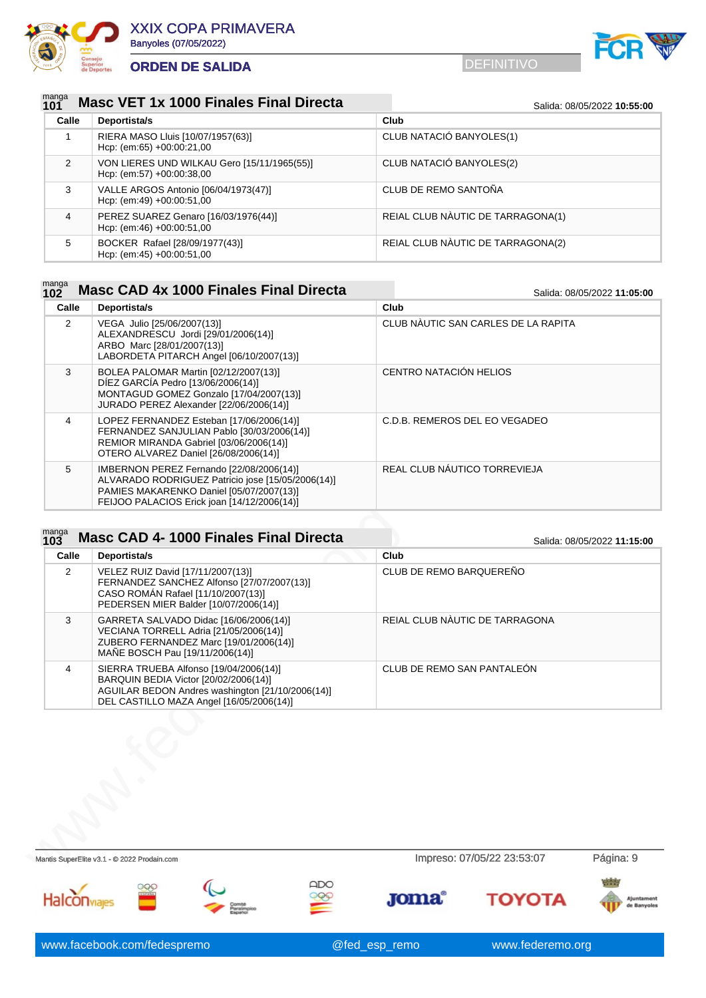



### manga<br>101 **1010 Masc VET 1x 1000 Finales Final Directa** Salida: 08/05/2022 10:55:00

| Calle         | Deportista/s                                                             | Club                              |  |
|---------------|--------------------------------------------------------------------------|-----------------------------------|--|
|               | RIERA MASO Lluis [10/07/1957(63)]<br>Hcp: (em:65) $+00:00:21,00$         | CLUB NATACIÓ BANYOLES(1)          |  |
| $\mathcal{P}$ | VON LIERES UND WILKAU Gero [15/11/1965(55)]<br>Hcp: (em:57) +00:00:38,00 | CLUB NATACIÓ BANYOLES(2)          |  |
| 3             | VALLE ARGOS Antonio [06/04/1973(47)]<br>Hcp: (em:49) $+00:00:51,00$      | CLUB DE REMO SANTOÑA              |  |
| 4             | PEREZ SUAREZ Genaro [16/03/1976(44)]<br>Hcp: (em:46) $+00.00:51,00$      | REIAL CLUB NAUTIC DE TARRAGONA(1) |  |
| 5             | BOCKER Rafael [28/09/1977(43)]<br>Hcp: (em:45) $+00.00:51.00$            | REIAL CLUB NAUTIC DE TARRAGONA(2) |  |

# manga **Masc CAD 4x 1000 Finales Final Directa** Salida: 08/05/2022 11:05:00

| Calle | Deportista/s                                                                                                                                                                             | Club                                |
|-------|------------------------------------------------------------------------------------------------------------------------------------------------------------------------------------------|-------------------------------------|
| 2     | VEGA Julio [25/06/2007(13)]<br>ALEXANDRESCU Jordi [29/01/2006(14)]<br>ARBO Marc [28/01/2007(13)]<br>LABORDETA PITARCH Angel [06/10/2007(13)]                                             | CLUB NAUTIC SAN CARLES DE LA RAPITA |
| 3     | BOLEA PALOMAR Martin [02/12/2007(13)]<br>DÍEZ GARCÍA Pedro [13/06/2006(14)]<br>MONTAGUD GOMEZ Gonzalo [17/04/2007(13)]<br>JURADO PEREZ Alexander [22/06/2006(14)]                        | CENTRO NATACIÓN HELIOS              |
| 4     | LOPEZ FERNANDEZ Esteban [17/06/2006(14)]<br>FERNANDEZ SANJULIAN Pablo [30/03/2006(14)]<br>REMIOR MIRANDA Gabriel [03/06/2006(14)]<br>OTERO ALVAREZ Daniel [26/08/2006(14)]               | C.D.B. REMEROS DEL EO VEGADEO       |
| 5     | IMBERNON PEREZ Fernando [22/08/2006(14)]<br>ALVARADO RODRIGUEZ Patricio jose [15/05/2006(14)]<br>PAMIES MAKARENKO Daniel [05/07/2007(13)]<br>FEIJOO PALACIOS Erick joan [14/12/2006(14)] | REAL CLUB NÁUTICO TORREVIEJA        |

#### manga<br>102 **103** Masc CAD 4- 1000 Finales Final Directa Salida: 08/05/2022 11:15:00

| CLUB DE REMO BARQUEREÑO<br>REIAL CLUB NÀUTIC DE TARRAGONA<br>CLUB DE REMO SAN PANTALEÓN | Calle | Deportista/s                                                                                                                                                                    | Club |  |
|-----------------------------------------------------------------------------------------|-------|---------------------------------------------------------------------------------------------------------------------------------------------------------------------------------|------|--|
|                                                                                         | 2     | VELEZ RUIZ David [17/11/2007(13)]<br>FERNANDEZ SANCHEZ Alfonso [27/07/2007(13)]<br>CASO ROMÁN Rafael [11/10/2007(13)]<br>PEDERSEN MIER Balder [10/07/2006(14)]                  |      |  |
|                                                                                         | 3     | GARRETA SALVADO Didac [16/06/2006(14)]<br>VECIANA TORRELL Adria [21/05/2006(14)]<br>ZUBERO FERNANDEZ Marc [19/01/2006(14)]<br>MAÑE BOSCH Pau [19/11/2006(14)]                   |      |  |
|                                                                                         | 4     | SIERRA TRUEBA Alfonso [19/04/2006(14)]<br>BARQUIN BEDIA Victor [20/02/2006(14)]<br>AGUILAR BEDON Andres washington [21/10/2006(14)]<br>DEL CASTILLO MAZA Angel [16/05/2006(14)] |      |  |
|                                                                                         |       |                                                                                                                                                                                 |      |  |
| Impreso: 07/05/22 23:53:07                                                              |       |                                                                                                                                                                                 |      |  |
|                                                                                         |       |                                                                                                                                                                                 |      |  |

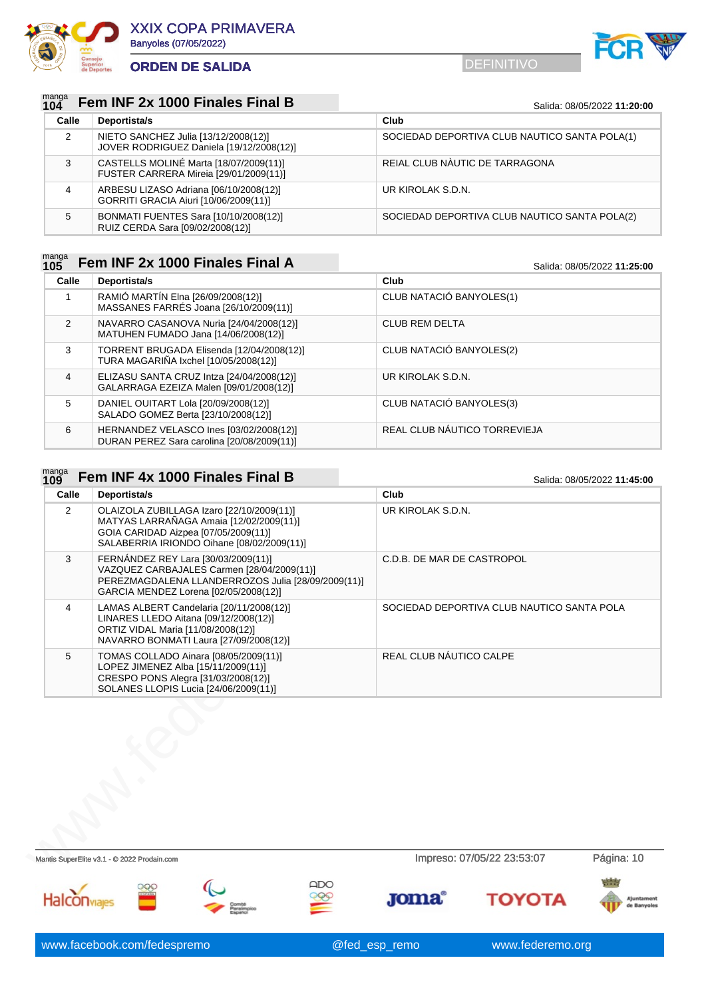

 $m$ anga  $-$ 

# **ORDEN DE SALIDA** DEFINITIVO



### manga<br>104 **104 Fem INF 2x 1000 Finales Final B** Salida: 08/05/2022 11:20:00

| Calle | Deportista/s                                                                     | Club                                          |
|-------|----------------------------------------------------------------------------------|-----------------------------------------------|
| 2     | NIETO SANCHEZ Julia [13/12/2008(12)]<br>JOVER RODRIGUEZ Daniela [19/12/2008(12)] | SOCIEDAD DEPORTIVA CLUB NAUTICO SANTA POLA(1) |
| 3     | CASTELLS MOLINÉ Marta [18/07/2009(11)]<br>FUSTER CARRERA Mireia [29/01/2009(11)] | REIAL CLUB NAUTIC DE TARRAGONA                |
| 4     | ARBESU LIZASO Adriana [06/10/2008(12)]<br>GORRITI GRACIA Aiuri [10/06/2009(11)]  | UR KIROLAK S.D.N.                             |
| 5     | BONMATI FUENTES Sara [10/10/2008(12)]<br>RUIZ CERDA Sara [09/02/2008(12)]        | SOCIEDAD DEPORTIVA CLUB NAUTICO SANTA POLA(2) |

### manga<br>**105 105 Fem INF 2x 1000 Finales Final A** Salida: 08/05/2022 11:25:00

| Calle         | Deportista/s                                                                          | Club                         |
|---------------|---------------------------------------------------------------------------------------|------------------------------|
|               | RAMIÓ MARTÍN Elna [26/09/2008(12)]<br>MASSANES FARRÉS Joana [26/10/2009(11)]          | CLUB NATACIÓ BANYOLES(1)     |
| $\mathcal{P}$ | NAVARRO CASANOVA Nuria [24/04/2008(12)]<br>MATUHEN FUMADO Jana [14/06/2008(12)]       | <b>CLUB REM DELTA</b>        |
| 3             | TORRENT BRUGADA Elisenda [12/04/2008(12)]<br>TURA MAGARIÑA Ixchel [10/05/2008(12)]    | CLUB NATACIÓ BANYOLES(2)     |
| 4             | ELIZASU SANTA CRUZ Intza [24/04/2008(12)]<br>GALARRAGA EZEIZA Malen [09/01/2008(12)]  | UR KIROLAK S.D.N.            |
| 5             | DANIEL OUITART Lola [20/09/2008(12)]<br>SALADO GOMEZ Berta [23/10/2008(12)]           | CLUB NATACIÓ BANYOLES(3)     |
| 6             | HERNANDEZ VELASCO Ines [03/02/2008(12)]<br>DURAN PEREZ Sara carolina [20/08/2009(11)] | REAL CLUB NÁUTICO TORREVIEJA |

| Calle          | Deportista/s                                                                                                                                                                     | Club                                       |            |
|----------------|----------------------------------------------------------------------------------------------------------------------------------------------------------------------------------|--------------------------------------------|------------|
| 2              | OLAIZOLA ZUBILLAGA Izaro [22/10/2009(11)]<br>MATYAS LARRAÑAGA Amaia [12/02/2009(11)]<br>GOIA CARIDAD Aizpea [07/05/2009(11)]<br>SALABERRIA IRIONDO Oihane [08/02/2009(11)]       | UR KIROLAK S.D.N.                          |            |
| 3              | FERNÁNDEZ REY Lara [30/03/2009(11)]<br>VAZQUEZ CARBAJALES Carmen [28/04/2009(11)]<br>PEREZMAGDALENA LLANDERROZOS Julia [28/09/2009(11)]<br>GARCIA MENDEZ Lorena [02/05/2008(12)] | C.D.B. DE MAR DE CASTROPOL                 |            |
| $\overline{4}$ | LAMAS ALBERT Candelaria [20/11/2008(12)]<br>LINARES LLEDO Aitana [09/12/2008(12)]<br>ORTIZ VIDAL Maria [11/08/2008(12)]<br>NAVARRO BONMATI Laura [27/09/2008(12)]                | SOCIEDAD DEPORTIVA CLUB NAUTICO SANTA POLA |            |
| 5              | TOMAS COLLADO Ainara [08/05/2009(11)]<br>LOPEZ JIMENEZ Alba [15/11/2009(11)]<br>CRESPO PONS Alegra [31/03/2008(12)]<br>SOLANES LLOPIS Lucia [24/06/2009(11)]                     | REAL CLUB NÁUTICO CALPE                    |            |
|                |                                                                                                                                                                                  |                                            |            |
|                | Mantis SuperElite v3.1 - @ 2022 Prodain.com                                                                                                                                      | Impreso: 07/05/22 23:53:07                 | Página: 10 |
|                |                                                                                                                                                                                  |                                            |            |

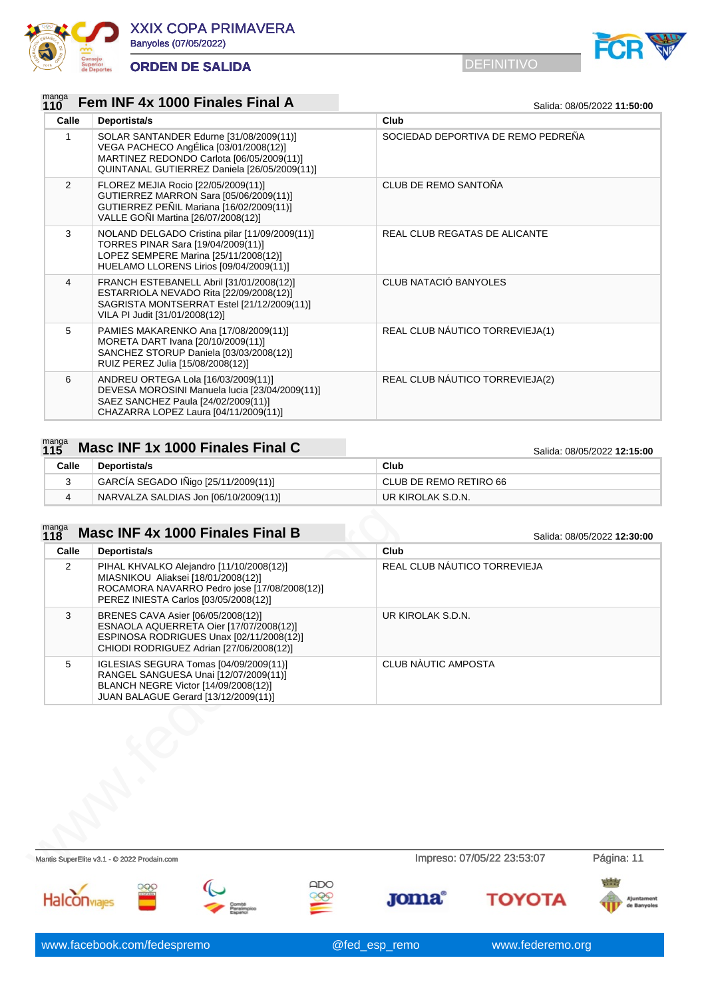



### manga<br>**110 120 Franch INF 4x 1000 Finales Final A** Salida: 08/05/2022 11:50:00

| Calle         | Deportista/s                                                                                                                                                                   | Club                               |
|---------------|--------------------------------------------------------------------------------------------------------------------------------------------------------------------------------|------------------------------------|
| 1             | SOLAR SANTANDER Edurne [31/08/2009(11)]<br>VEGA PACHECO AngÉlica [03/01/2008(12)]<br>MARTINEZ REDONDO Carlota [06/05/2009(11)]<br>QUINTANAL GUTIERREZ Daniela [26/05/2009(11)] | SOCIEDAD DEPORTIVA DE REMO PEDREÑA |
| $\mathcal{P}$ | FLOREZ MEJIA Rocio [22/05/2009(11)]<br>GUTIERREZ MARRON Sara [05/06/2009(11)]<br>GUTIERREZ PEÑIL Mariana [16/02/2009(11)]<br>VALLE GONI Martina [26/07/2008(12)]               | <b>CLUB DE REMO SANTOÑA</b>        |
| 3             | NOLAND DELGADO Cristina pilar [11/09/2009(11)]<br>TORRES PINAR Sara [19/04/2009(11)]<br>LOPEZ SEMPERE Marina [25/11/2008(12)]<br>HUELAMO LLORENS Lirios [09/04/2009(11)]       | REAL CLUB REGATAS DE ALICANTE      |
| 4             | FRANCH ESTEBANELL Abril [31/01/2008(12)]<br>ESTARRIOLA NEVADO Rita [22/09/2008(12)]<br>SAGRISTA MONTSERRAT Estel [21/12/2009(11)]<br>VILA PI Judit [31/01/2008(12)]            | CLUB NATACIÓ BANYOLES              |
| 5             | PAMIES MAKARENKO Ana [17/08/2009(11)]<br>MORETA DART Ivana [20/10/2009(11)]<br>SANCHEZ STORUP Daniela [03/03/2008(12)]<br>RUIZ PEREZ Julia [15/08/2008(12)]                    | REAL CLUB NAUTICO TORREVIEJA(1)    |
| 6             | ANDREU ORTEGA Lola [16/03/2009(11)]<br>DEVESA MOROSINI Manuela lucia [23/04/2009(11)]<br>SAEZ SANCHEZ Paula [24/02/2009(11)]<br>CHAZARRA LOPEZ Laura [04/11/2009(11)]          | REAL CLUB NÁUTICO TORREVIEJA(2)    |

### manga<br>115 **115 12:15:00 Masc INF 1x 1000 Finales Final C** Salida: 08/05/2022 **12:15:00**

| --- |       |                                       |                        |
|-----|-------|---------------------------------------|------------------------|
|     | Calle | Deportista/s                          | Club                   |
|     |       | GARCIA SEGADO IÑigo [25/11/2009(11)]  | CLUB DE REMO RETIRO 66 |
|     |       | NARVALZA SALDIAS Jon [06/10/2009(11)] | UR KIROLAK S.D.N.      |

### manga<br>118 **118 Masc INF 4x 1000 Finales Final B** Salida: 08/05/2022 12:30:00

| Calle | Deportista/s                                                                                                                                                             | Club                         |            |
|-------|--------------------------------------------------------------------------------------------------------------------------------------------------------------------------|------------------------------|------------|
| 2     | PIHAL KHVALKO Alejandro [11/10/2008(12)]<br>MIASNIKOU Aliaksei [18/01/2008(12)]<br>ROCAMORA NAVARRO Pedro jose [17/08/2008(12)]<br>PEREZ INIESTA Carlos [03/05/2008(12)] | REAL CLUB NÁUTICO TORREVIEJA |            |
| 3     | BRENES CAVA Asier [06/05/2008(12)]<br>ESNAOLA AQUERRETA Oier [17/07/2008(12)]<br>ESPINOSA RODRIGUES Unax [02/11/2008(12)]<br>CHIODI RODRIGUEZ Adrian [27/06/2008(12)]    | UR KIROLAK S.D.N.            |            |
| 5     | IGLESIAS SEGURA Tomas [04/09/2009(11)]<br>RANGEL SANGUESA Unai [12/07/2009(11)]<br>BLANCH NEGRE Victor [14/09/2008(12)]<br>JUAN BALAGUE Gerard [13/12/2009(11)]          | CLUB NAUTIC AMPOSTA          |            |
|       |                                                                                                                                                                          |                              |            |
|       | Mantis SuperElite v3.1 - @ 2022 Prodain.com                                                                                                                              | Impreso: 07/05/22 23:53:07   | Página: 11 |
|       |                                                                                                                                                                          |                              |            |

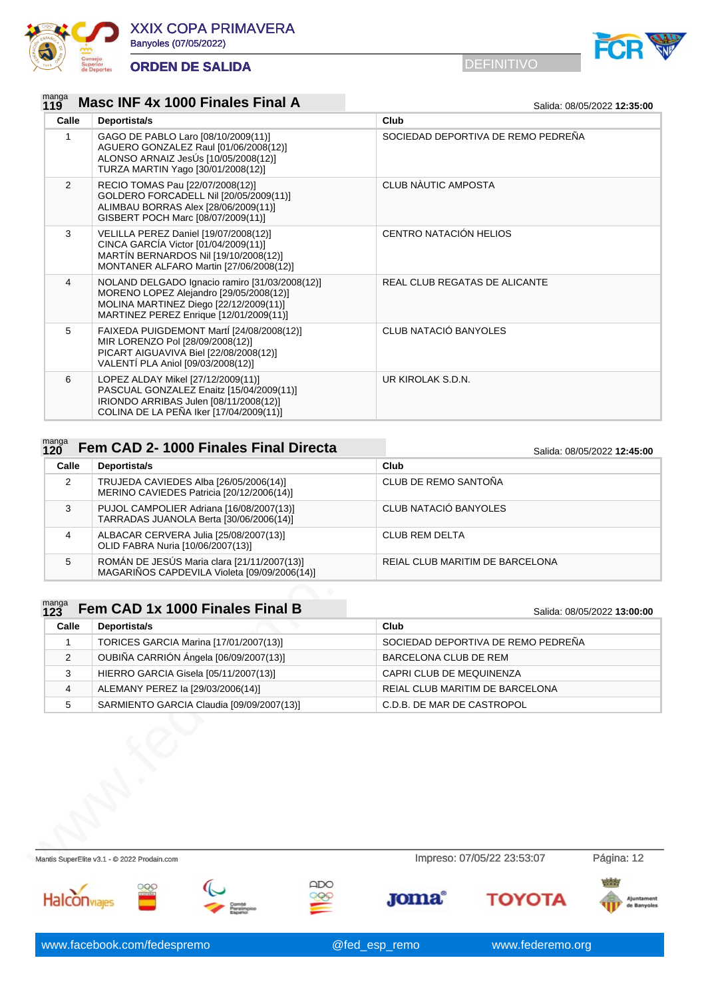



### manga<br>119 **119 Masc INF 4x 1000 Finales Final A** Salida: 08/05/2022 12:35:00

| Calle          | Deportista/s                                                                                                                                                                   | Club                               |
|----------------|--------------------------------------------------------------------------------------------------------------------------------------------------------------------------------|------------------------------------|
| 1              | GAGO DE PABLO Laro [08/10/2009(11)]<br>AGUERO GONZALEZ Raul [01/06/2008(12)]<br>ALONSO ARNAIZ JesÚs [10/05/2008(12)]<br>TURZA MARTIN Yago [30/01/2008(12)]                     | SOCIEDAD DEPORTIVA DE REMO PEDREÑA |
| $\overline{2}$ | RECIO TOMAS Pau [22/07/2008(12)]<br>GOLDERO FORCADELL Nil [20/05/2009(11)]<br>ALIMBAU BORRAS Alex [28/06/2009(11)]<br>GISBERT POCH Marc [08/07/2009(11)]                       | CLUB NÀUTIC AMPOSTA                |
| 3              | VELILLA PEREZ Daniel [19/07/2008(12)]<br>CINCA GARCÍA Victor [01/04/2009(11)]<br>MARTIN BERNARDOS Nil [19/10/2008(12)]<br>MONTANER ALFARO Martin [27/06/2008(12)]              | CENTRO NATACIÓN HELIOS             |
| $\overline{4}$ | NOLAND DELGADO Ignacio ramiro [31/03/2008(12)]<br>MORENO LOPEZ Alejandro [29/05/2008(12)]<br>MOLINA MARTINEZ Diego [22/12/2009(11)]<br>MARTINEZ PEREZ Enrique [12/01/2009(11)] | REAL CLUB REGATAS DE ALICANTE      |
| 5              | FAIXEDA PUIGDEMONT MartÍ [24/08/2008(12)]<br>MIR LORENZO Pol [28/09/2008(12)]<br>PICART AIGUAVIVA Biel [22/08/2008(12)]<br>VALENTÍ PLA Aniol [09/03/2008(12)]                  | CLUB NATACIÓ BANYOLES              |
| 6              | LOPEZ ALDAY Mikel [27/12/2009(11)]<br>PASCUAL GONZALEZ Enaitz [15/04/2009(11)]<br>IRIONDO ARRIBAS Julen [08/11/2008(12)]<br>COLINA DE LA PEÑA Iker [17/04/2009(11)]            | UR KIROLAK S.D.N.                  |

### manga<br>120 **120 <b>Fem CAD 2- 1000 Finales Final Directa** Salida: 08/05/2022 12:45:00

| 17 J  |                                                                                             | <u>Jaliua. VOIVJIZUZZ TZ.4J.UU</u> |  |
|-------|---------------------------------------------------------------------------------------------|------------------------------------|--|
| Calle | Deportista/s                                                                                | Club                               |  |
| 2     | TRUJEDA CAVIEDES Alba [26/05/2006(14)]<br>MERINO CAVIEDES Patricia [20/12/2006(14)]         | CLUB DE REMO SANTOÑA               |  |
| 3     | PUJOL CAMPOLIER Adriana [16/08/2007(13)]<br>TARRADAS JUANOLA Berta [30/06/2006(14)]         | CLUB NATACIÓ BANYOLES              |  |
| 4     | ALBACAR CERVERA Julia [25/08/2007(13)]<br>OLID FABRA Nuria [10/06/2007(13)]                 | <b>CLUB REM DELTA</b>              |  |
| 5     | ROMÁN DE JESÚS Maria clara [21/11/2007(13)]<br>MAGARIÑOS CAPDEVILA Violeta [09/09/2006(14)] | REIAL CLUB MARITIM DE BARCELONA    |  |

| J.                  | PUJUL CAMPULIER Adilana   16/06/2007 (13) <br>TARRADAS JUANOLA Berta [30/06/2006(14)]       | ULUD INA I AUIU DAIN I ULES        |                             |
|---------------------|---------------------------------------------------------------------------------------------|------------------------------------|-----------------------------|
| 4                   | ALBACAR CERVERA Julia [25/08/2007(13)]<br>OLID FABRA Nuria [10/06/2007(13)]                 | <b>CLUB REM DELTA</b>              |                             |
| 5                   | ROMÁN DE JESÚS Maria clara [21/11/2007(13)]<br>MAGARIÑOS CAPDEVILA Violeta [09/09/2006(14)] | REIAL CLUB MARITIM DE BARCELONA    |                             |
| $\frac{manga}{123}$ | Fem CAD 1x 1000 Finales Final B                                                             |                                    |                             |
| Calle               | Deportista/s                                                                                | Club                               | Salida: 08/05/2022 13:00:00 |
| 1                   |                                                                                             | SOCIEDAD DEPORTIVA DE REMO PEDREÑA |                             |
|                     | TORICES GARCIA Marina [17/01/2007(13)]                                                      |                                    |                             |
| 2                   | OUBIÑA CARRIÓN Ángela [06/09/2007(13)]                                                      | BARCELONA CLUB DE REM              |                             |
| 3                   | HIERRO GARCIA Gisela [05/11/2007(13)]                                                       | CAPRI CLUB DE MEQUINENZA           |                             |
| 4                   | ALEMANY PEREZ la [29/03/2006(14)]                                                           | REIAL CLUB MARITIM DE BARCELONA    |                             |
| 5                   | SARMIENTO GARCIA Claudia [09/09/2007(13)]                                                   | C.D.B. DE MAR DE CASTROPOL         |                             |
|                     |                                                                                             |                                    |                             |
|                     | Mantis SuperElite v3.1 - @ 2022 Prodain.com                                                 | Impreso: 07/05/22 23:53:07         | Página: 12                  |
|                     |                                                                                             |                                    |                             |